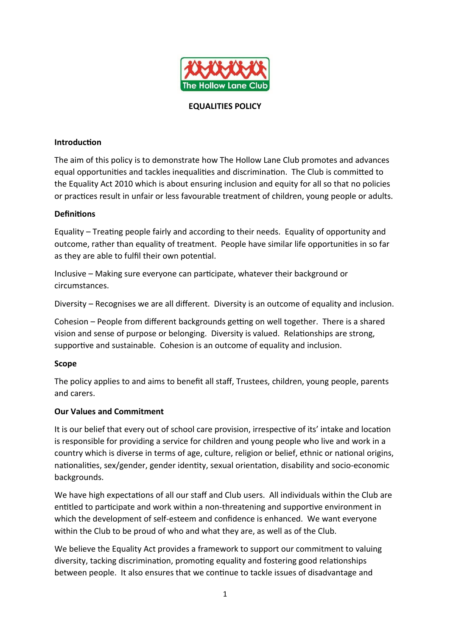

#### **EQUALITIES POLICY**

#### **Introduction**

The aim of this policy is to demonstrate how The Hollow Lane Club promotes and advances equal opportunities and tackles inequalities and discrimination. The Club is committed to the Equality Act 2010 which is about ensuring inclusion and equity for all so that no policies or practices result in unfair or less favourable treatment of children, young people or adults.

#### **Definitions**

Equality – Treating people fairly and according to their needs. Equality of opportunity and outcome, rather than equality of treatment. People have similar life opportunities in so far as they are able to fulfil their own potential.

Inclusive – Making sure everyone can participate, whatever their background or circumstances.

Diversity – Recognises we are all different. Diversity is an outcome of equality and inclusion.

Cohesion – People from different backgrounds getting on well together. There is a shared vision and sense of purpose or belonging. Diversity is valued. Relationships are strong, supportive and sustainable. Cohesion is an outcome of equality and inclusion.

#### **Scope**

The policy applies to and aims to benefit all staff, Trustees, children, young people, parents and carers.

#### **Our Values and Commitment**

It is our belief that every out of school care provision, irrespective of its' intake and location is responsible for providing a service for children and young people who live and work in a country which is diverse in terms of age, culture, religion or belief, ethnic or national origins, nationalities, sex/gender, gender identity, sexual orientation, disability and socio-economic backgrounds.

We have high expectations of all our staff and Club users. All individuals within the Club are entitled to participate and work within a non-threatening and supportive environment in which the development of self-esteem and confidence is enhanced. We want everyone within the Club to be proud of who and what they are, as well as of the Club.

We believe the Equality Act provides a framework to support our commitment to valuing diversity, tacking discrimination, promoting equality and fostering good relationships between people. It also ensures that we continue to tackle issues of disadvantage and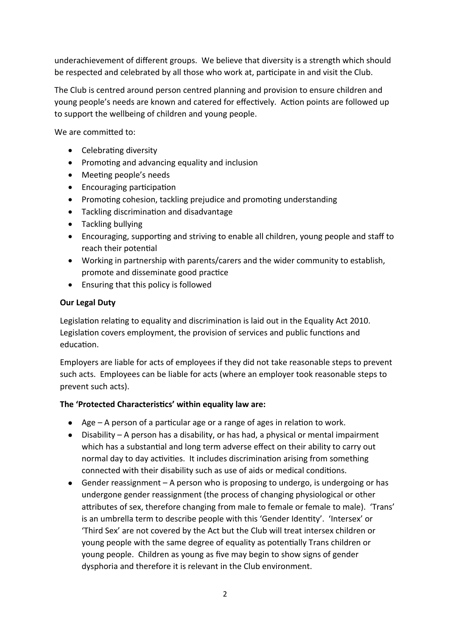underachievement of different groups. We believe that diversity is a strength which should be respected and celebrated by all those who work at, participate in and visit the Club.

The Club is centred around person centred planning and provision to ensure children and young people's needs are known and catered for effectively. Action points are followed up to support the wellbeing of children and young people.

We are committed to:

- Celebrating diversity
- Promoting and advancing equality and inclusion
- Meeting people's needs
- Encouraging participation
- Promoting cohesion, tackling prejudice and promoting understanding
- Tackling discrimination and disadvantage
- Tackling bullying
- Encouraging, supporting and striving to enable all children, young people and staff to reach their potential
- Working in partnership with parents/carers and the wider community to establish, promote and disseminate good practice
- Ensuring that this policy is followed

# **Our Legal Duty**

Legislation relating to equality and discrimination is laid out in the Equality Act 2010. Legislation covers employment, the provision of services and public functions and education.

Employers are liable for acts of employees if they did not take reasonable steps to prevent such acts. Employees can be liable for acts (where an employer took reasonable steps to prevent such acts).

# **The 'Protected Characteristics' within equality law are:**

- Age A person of a particular age or a range of ages in relation to work.
- Disability A person has a disability, or has had, a physical or mental impairment which has a substantial and long term adverse effect on their ability to carry out normal day to day activities. It includes discrimination arising from something connected with their disability such as use of aids or medical conditions.
- Gender reassignment A person who is proposing to undergo, is undergoing or has undergone gender reassignment (the process of changing physiological or other attributes of sex, therefore changing from male to female or female to male). 'Trans' is an umbrella term to describe people with this 'Gender Identity'. 'Intersex' or 'Third Sex' are not covered by the Act but the Club will treat intersex children or young people with the same degree of equality as potentially Trans children or young people. Children as young as five may begin to show signs of gender dysphoria and therefore it is relevant in the Club environment.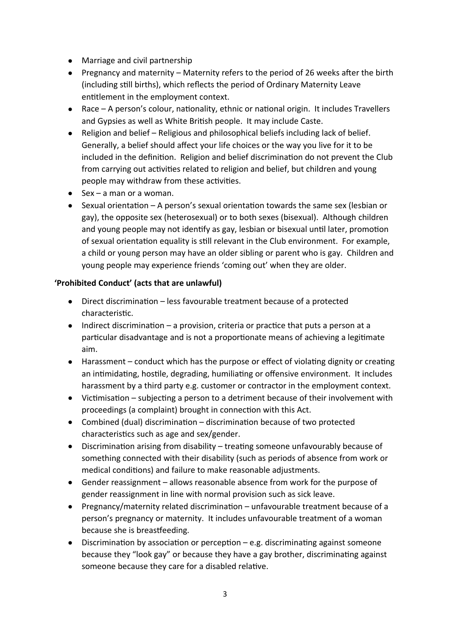- Marriage and civil partnership
- Pregnancy and maternity Maternity refers to the period of 26 weeks after the birth (including still births), which reflects the period of Ordinary Maternity Leave entitlement in the employment context.
- Race A person's colour, nationality, ethnic or national origin. It includes Travellers and Gypsies as well as White British people. It may include Caste.
- Religion and belief Religious and philosophical beliefs including lack of belief. Generally, a belief should affect your life choices or the way you live for it to be included in the definition. Religion and belief discrimination do not prevent the Club from carrying out activities related to religion and belief, but children and young people may withdraw from these activities.
- $\bullet$  Sex a man or a woman.
- $\bullet$  Sexual orientation A person's sexual orientation towards the same sex (lesbian or gay), the opposite sex (heterosexual) or to both sexes (bisexual). Although children and young people may not identify as gay, lesbian or bisexual until later, promotion of sexual orientation equality is still relevant in the Club environment. For example, a child or young person may have an older sibling or parent who is gay. Children and young people may experience friends 'coming out' when they are older.

# **'Prohibited Conduct' (acts that are unlawful)**

- Direct discrimination less favourable treatment because of a protected characteristic.
- $\bullet$  Indirect discrimination a provision, criteria or practice that puts a person at a particular disadvantage and is not a proportionate means of achieving a legitimate aim.
- Harassment conduct which has the purpose or effect of violating dignity or creating an intimidating, hostile, degrading, humiliating or offensive environment. It includes harassment by a third party e.g. customer or contractor in the employment context.
- Victimisation subjecting a person to a detriment because of their involvement with proceedings (a complaint) brought in connection with this Act.
- Combined (dual) discrimination discrimination because of two protected characteristics such as age and sex/gender.
- Discrimination arising from disability treating someone unfavourably because of something connected with their disability (such as periods of absence from work or medical conditions) and failure to make reasonable adjustments.
- Gender reassignment allows reasonable absence from work for the purpose of gender reassignment in line with normal provision such as sick leave.
- Pregnancy/maternity related discrimination unfavourable treatment because of a person's pregnancy or maternity. It includes unfavourable treatment of a woman because she is breastfeeding.
- Discrimination by association or perception e.g. discriminating against someone because they "look gay" or because they have a gay brother, discriminating against someone because they care for a disabled relative.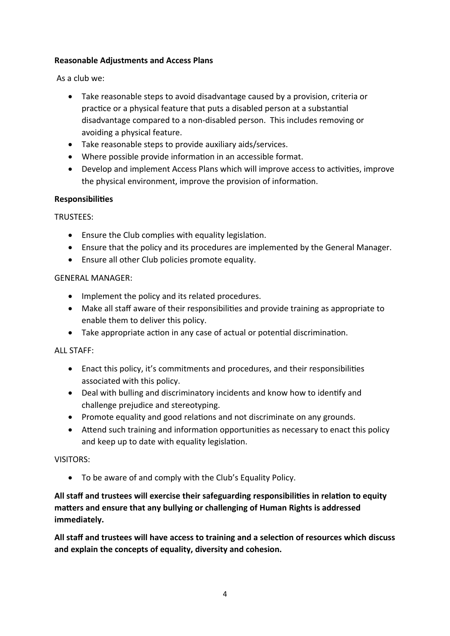# **Reasonable Adjustments and Access Plans**

As a club we:

- Take reasonable steps to avoid disadvantage caused by a provision, criteria or practice or a physical feature that puts a disabled person at a substantial disadvantage compared to a non-disabled person. This includes removing or avoiding a physical feature.
- Take reasonable steps to provide auxiliary aids/services.
- Where possible provide information in an accessible format.
- Develop and implement Access Plans which will improve access to activities, improve the physical environment, improve the provision of information.

#### **Responsibilities**

TRUSTEES:

- Ensure the Club complies with equality legislation.
- Ensure that the policy and its procedures are implemented by the General Manager.
- Ensure all other Club policies promote equality.

#### GENERAL MANAGER:

- Implement the policy and its related procedures.
- Make all staff aware of their responsibilities and provide training as appropriate to enable them to deliver this policy.
- Take appropriate action in any case of actual or potential discrimination.

# ALL STAFF:

- Enact this policy, it's commitments and procedures, and their responsibilities associated with this policy.
- Deal with bulling and discriminatory incidents and know how to identify and challenge prejudice and stereotyping.
- Promote equality and good relations and not discriminate on any grounds.
- Attend such training and information opportunities as necessary to enact this policy and keep up to date with equality legislation.

# VISITORS:

To be aware of and comply with the Club's Equality Policy.

**All staff and trustees will exercise their safeguarding responsibilities in relation to equity matters and ensure that any bullying or challenging of Human Rights is addressed immediately.**

**All staff and trustees will have access to training and a selection of resources which discuss and explain the concepts of equality, diversity and cohesion.**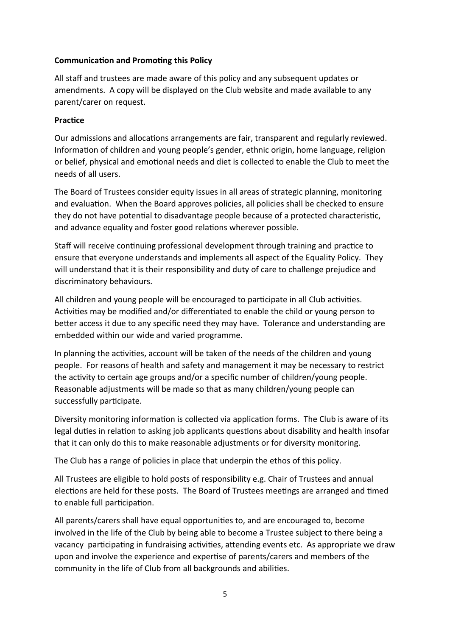# **Communication and Promoting this Policy**

All staff and trustees are made aware of this policy and any subsequent updates or amendments. A copy will be displayed on the Club website and made available to any parent/carer on request.

# **Practice**

Our admissions and allocations arrangements are fair, transparent and regularly reviewed. Information of children and young people's gender, ethnic origin, home language, religion or belief, physical and emotional needs and diet is collected to enable the Club to meet the needs of all users.

The Board of Trustees consider equity issues in all areas of strategic planning, monitoring and evaluation. When the Board approves policies, all policies shall be checked to ensure they do not have potential to disadvantage people because of a protected characteristic, and advance equality and foster good relations wherever possible.

Staff will receive continuing professional development through training and practice to ensure that everyone understands and implements all aspect of the Equality Policy. They will understand that it is their responsibility and duty of care to challenge prejudice and discriminatory behaviours.

All children and young people will be encouraged to participate in all Club activities. Activities may be modified and/or differentiated to enable the child or young person to better access it due to any specific need they may have. Tolerance and understanding are embedded within our wide and varied programme.

In planning the activities, account will be taken of the needs of the children and young people. For reasons of health and safety and management it may be necessary to restrict the activity to certain age groups and/or a specific number of children/young people. Reasonable adjustments will be made so that as many children/young people can successfully participate.

Diversity monitoring information is collected via application forms. The Club is aware of its legal duties in relation to asking job applicants questions about disability and health insofar that it can only do this to make reasonable adjustments or for diversity monitoring.

The Club has a range of policies in place that underpin the ethos of this policy.

All Trustees are eligible to hold posts of responsibility e.g. Chair of Trustees and annual elections are held for these posts. The Board of Trustees meetings are arranged and timed to enable full participation.

All parents/carers shall have equal opportunities to, and are encouraged to, become involved in the life of the Club by being able to become a Trustee subject to there being a vacancy participating in fundraising activities, attending events etc. As appropriate we draw upon and involve the experience and expertise of parents/carers and members of the community in the life of Club from all backgrounds and abilities.